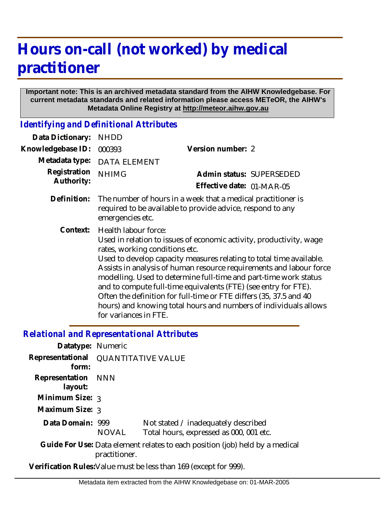## **Hours on-call (not worked) by medical practitioner**

## **Important note: This is an archived metadata standard from the AIHW Knowledgebase. For current metadata standards and related information please access METeOR, the AIHW's Metadata Online Registry at http://meteor.aihw.gov.au**

*Identifying and Definitional Attributes*

| Data Dictionary:           | <b>NHDD</b>                                                                                                                                                                                                                                                                                                                                                                                                                                                                                                                                                                           |                                                       |  |
|----------------------------|---------------------------------------------------------------------------------------------------------------------------------------------------------------------------------------------------------------------------------------------------------------------------------------------------------------------------------------------------------------------------------------------------------------------------------------------------------------------------------------------------------------------------------------------------------------------------------------|-------------------------------------------------------|--|
| Knowledgebase ID:          | 000393                                                                                                                                                                                                                                                                                                                                                                                                                                                                                                                                                                                | Version number: 2                                     |  |
| Metadata type:             | <b>DATA ELEMENT</b>                                                                                                                                                                                                                                                                                                                                                                                                                                                                                                                                                                   |                                                       |  |
| Registration<br>Authority: | <b>NHIMG</b>                                                                                                                                                                                                                                                                                                                                                                                                                                                                                                                                                                          | Admin status: SUPERSEDED<br>Effective date: 01-MAR-05 |  |
| Definition:                | The number of hours in a week that a medical practitioner is<br>required to be available to provide advice, respond to any<br>emergencies etc.                                                                                                                                                                                                                                                                                                                                                                                                                                        |                                                       |  |
| Context:                   | Health labour force:<br>Used in relation to issues of economic activity, productivity, wage<br>rates, working conditions etc.<br>Used to develop capacity measures relating to total time available.<br>Assists in analysis of human resource requirements and labour force<br>modelling. Used to determine full-time and part-time work status<br>and to compute full-time equivalents (FTE) (see entry for FTE).<br>Often the definition for full-time or FTE differs (35, 37.5 and 40<br>hours) and knowing total hours and numbers of individuals allows<br>for variances in FTE. |                                                       |  |

*Relational and Representational Attributes*

| Datatype: Numeric                      |                                     |                                                                                |
|----------------------------------------|-------------------------------------|--------------------------------------------------------------------------------|
|                                        | Representational QUANTITATIVE VALUE |                                                                                |
| form:<br>Representation NNN<br>layout: |                                     |                                                                                |
| Minimum Size: 3                        |                                     |                                                                                |
| Maximum Size: 3                        |                                     |                                                                                |
| Data Domain: 999                       | <b>NOVAL</b>                        | Not stated / inadequately described<br>Total hours, expressed as 000, 001 etc. |
|                                        | practitioner.                       | Guide For Use: Data element relates to each position (job) held by a medical   |

**Verification Rules:**Value must be less than 169 (except for 999).